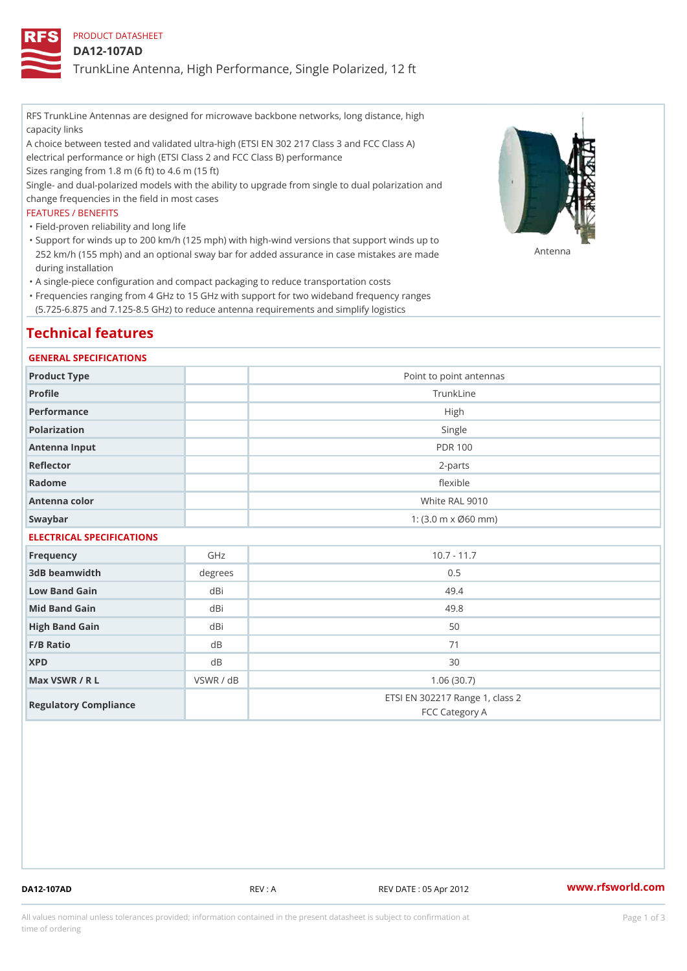## PRODUCT DATASHEET

## DA12-107AD

TrunkLine Antenna, High Performance, Single Polarized, 12 ft

RFS TrunkLine Antennas are designed for microwave backbone networks, long distance, high capacity links

A choice between tested and validated ultra-high (ETSI EN 302 217 Class 3 and FCC Class A) electrical performance or high (ETSI Class 2 and FCC Class B) performance

Sizes ranging from 1.8 m (6 ft) to 4.6 m (15 ft)

Single- and dual-polarized models with the ability to upgrade from single to dual polarization and change frequencies in the field in most cases

### FEATURES / BENEFITS

"Field-proven reliability and long life

- Support for winds up to 200 km/h (125 mph) with high-wind versions that support winds up to " 252 km/h (155 mph) and an optional sway bar for added assurance in case m S # \$ R & B are made during installation
- "A single-piece configuration and compact packaging to reduce transportation costs
- Frequencies ranging from 4 GHz to 15 GHz with support for two wideband frequency ranges " (5.725-6.875 and 7.125-8.5 GHz) to reduce antenna requirements and simplify logistics

## Technical features

### GENERAL SPECIFICATIONS

| Product Type              | Point to point antennas                                 |  |  |  |
|---------------------------|---------------------------------------------------------|--|--|--|
| Profile                   | TrunkLine                                               |  |  |  |
| Performance               | High                                                    |  |  |  |
| Polarization              | Single                                                  |  |  |  |
| Antenna Input             | <b>PDR 100</b>                                          |  |  |  |
| Reflector                 | $2 - p$ arts                                            |  |  |  |
| Radome                    | flexible                                                |  |  |  |
| Antenna color             | White RAL 9010                                          |  |  |  |
| Swaybar                   | 1: $(3.0 \, \text{m} \times \emptyset 60 \, \text{mm})$ |  |  |  |
| ELECTRICAL SPECIFICATIONS |                                                         |  |  |  |

| Frequency             | GHz       | $10.7 - 11.7$                                     |
|-----------------------|-----------|---------------------------------------------------|
| 3dB beamwidth         | degrees   | 0.5                                               |
| Low Band Gain         | dBi       | 49.4                                              |
| Mid Band Gain         | dBi       | 49.8                                              |
| High Band Gain        | dBi       | 50                                                |
| $F/B$ Ratio           | d B       | 71                                                |
| <b>XPD</b>            | d B       | 30                                                |
| Max VSWR / R L        | VSWR / dB | 1.06(30.7)                                        |
| Regulatory Compliance |           | ETSI EN 302217 Range 1, class 2<br>FCC Category A |

DA12-107AD REV : A REV DATE : 05 Apr 2012 [www.](https://www.rfsworld.com)rfsworld.com

All values nominal unless tolerances provided; information contained in the present datasheet is subject to Pcapgeign mation time of ordering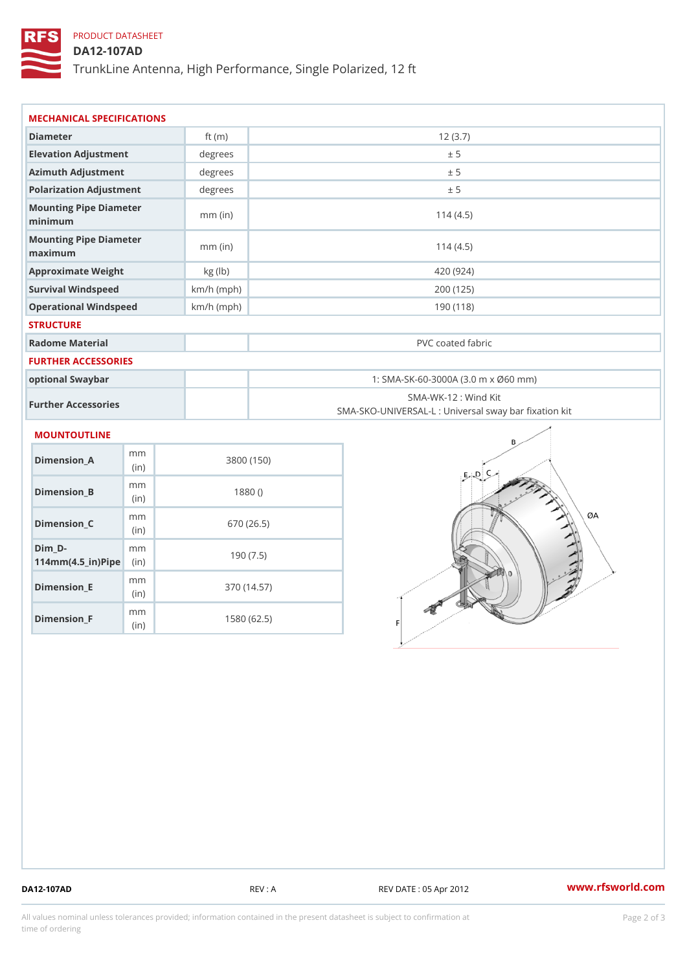# PRODUCT DATASHEET

## DA12-107AD

TrunkLine Antenna, High Performance, Single Polarized, 12 ft

| MECHANICAL SPECIFICATIONS                                                 |              |                                                                          |  |  |  |  |
|---------------------------------------------------------------------------|--------------|--------------------------------------------------------------------------|--|--|--|--|
| Diameter                                                                  | ft $(m)$     | 12(3.7)                                                                  |  |  |  |  |
| Elevation Adjustment                                                      | degrees      | ± 5                                                                      |  |  |  |  |
| Azimuth Adjustment                                                        | degrees      | ± 5                                                                      |  |  |  |  |
| Polarization Adjustment                                                   | degrees      | ± 5                                                                      |  |  |  |  |
| Mounting Pipe Diameter<br>minimum                                         | $mm$ (in)    | 114(4.5)                                                                 |  |  |  |  |
| Mounting Pipe Diameter<br>maximum                                         | $mm$ (in)    | 114(4.5)                                                                 |  |  |  |  |
| Approximate Weight                                                        | kg (lb)      | 420 (924)                                                                |  |  |  |  |
| Survival Windspeed                                                        | $km/h$ (mph) | 200 (125)                                                                |  |  |  |  |
| Operational Windspeed                                                     | $km/h$ (mph) | 190(118)                                                                 |  |  |  |  |
| <b>STRUCTURE</b>                                                          |              |                                                                          |  |  |  |  |
| Radome Material                                                           |              | PVC coated fabric                                                        |  |  |  |  |
| <b>FURTHER ACCESSORIES</b>                                                |              |                                                                          |  |  |  |  |
| optional Swaybar                                                          |              | 1: SMA-SK-60-3000A (3.0 m x Ø60 mm)                                      |  |  |  |  |
| Further Accessories                                                       |              | SMA-WK-12: Wind Kit<br>SMA-SKO-UNIVERSAL-L : Universal sway bar fixation |  |  |  |  |
| MOUNTOUTLINE                                                              |              |                                                                          |  |  |  |  |
| m m<br>$Dimension_A$<br>(in)                                              |              | 3800 (150)                                                               |  |  |  |  |
| m m<br>Dimension_B<br>(in)                                                |              | 1880()                                                                   |  |  |  |  |
| m m<br>Dimension_C<br>(in)                                                |              | 670 (26.5)                                                               |  |  |  |  |
| $Dim_D - D -$<br>m m<br>$114$ m m (4.5 _ ir ) $\sqrt{$ im $\cdot$ $\cdot$ |              | 190(7.5)                                                                 |  |  |  |  |

Dimension\_F m<sub>m</sub> (in) 1580 (62.5)

mm (in)

Dimension\_E

370 (14.57)

DA12-107AD REV : A REV DATE : 05 Apr 2012 [www.](https://www.rfsworld.com)rfsworld.com